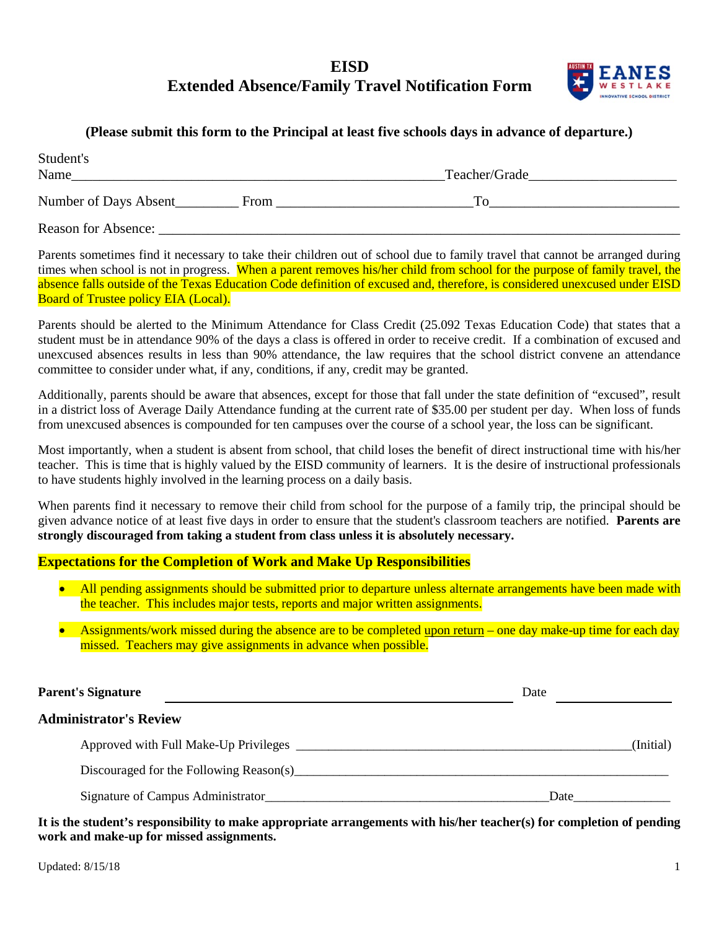## **EISD Extended Absence/Family Travel Notification Form**



## **(Please submit this form to the Principal at least five schools days in advance of departure.)**

| Student's<br>Name          |      | Teacher/Grade |
|----------------------------|------|---------------|
| Number of Days Absent      | From | Тο            |
| <b>Reason for Absence:</b> |      |               |

Parents sometimes find it necessary to take their children out of school due to family travel that cannot be arranged during times when school is not in progress. When a parent removes his/her child from school for the purpose of family travel, the absence falls outside of the Texas Education Code definition of excused and, therefore, is considered unexcused under EISD Board of Trustee policy EIA (Local).

Parents should be alerted to the Minimum Attendance for Class Credit (25.092 Texas Education Code) that states that a student must be in attendance 90% of the days a class is offered in order to receive credit. If a combination of excused and unexcused absences results in less than 90% attendance, the law requires that the school district convene an attendance committee to consider under what, if any, conditions, if any, credit may be granted.

Additionally, parents should be aware that absences, except for those that fall under the state definition of "excused", result in a district loss of Average Daily Attendance funding at the current rate of \$35.00 per student per day. When loss of funds from unexcused absences is compounded for ten campuses over the course of a school year, the loss can be significant.

Most importantly, when a student is absent from school, that child loses the benefit of direct instructional time with his/her teacher. This is time that is highly valued by the EISD community of learners. It is the desire of instructional professionals to have students highly involved in the learning process on a daily basis.

When parents find it necessary to remove their child from school for the purpose of a family trip, the principal should be given advance notice of at least five days in order to ensure that the student's classroom teachers are notified. **Parents are strongly discouraged from taking a student from class unless it is absolutely necessary.**

## **Expectations for the Completion of Work and Make Up Responsibilities**

- All pending assignments should be submitted prior to departure unless alternate arrangements have been made with the teacher. This includes major tests, reports and major written assignments.
- Assignments/work missed during the absence are to be completed upon return one day make-up time for each day missed. Teachers may give assignments in advance when possible.

| <b>Parent's Signature</b>               | Date      |
|-----------------------------------------|-----------|
| <b>Administrator's Review</b>           |           |
|                                         | (Initial) |
| Discouraged for the Following Reason(s) |           |
|                                         | Date      |

**It is the student's responsibility to make appropriate arrangements with his/her teacher(s) for completion of pending work and make-up for missed assignments.**